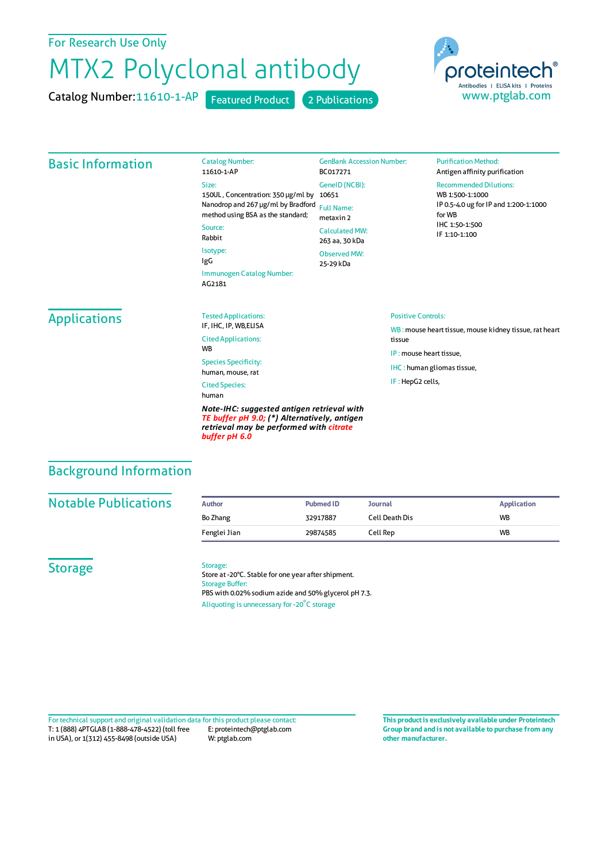## For Research Use Only

# MTX2 Polyclonal antibody

Catalog Number:

Catalog Number: 11610-1-AP Featured Product 2 Publications



## Basic Information

11610-1-AP Size: 150UL , Concentration: 350 μg/ml by 10651 Nanodrop and 267 μg/ml by Bradford Full Name: method using BSA as the standard; Source: Rabbit Isotype: IgG Immunogen Catalog Number: AG2181 Observed MW: 25-29 kDa

GenBank Accession Number: BC017271 GeneID(NCBI): metaxin 2 CalculatedMW: 263 aa, 30 kDa

#### **Purification Method:** Antigen affinity purification

#### Recommended Dilutions:

WB 1:500-1:1000 IP 0.5-4.0 ug forIP and 1:200-1:1000 forWB IHC 1:50-1:500 IF 1:10-1:100

## Applications

Tested Applications: IF, IHC, IP, WB,ELISA Cited Applications: **W<sub>R</sub>** Species Specificity: human, mouse, rat Cited Species:

human

*Note-IHC: suggested antigen retrieval with TE buffer pH 9.0; (\*) Alternatively, antigen retrieval may be performed with citrate buffer pH 6.0*

#### Positive Controls:

WB : mouse heart tissue, mouse kidney tissue, rat heart tissue IP : mouse heart tissue,

IHC : human gliomas tissue,

IF : HepG2 cells,

## Background Information

## **Notable Publications Author PubmedID Journal Application** Bo Zhang 32917887 Cell Death Dis WB Fenglei Jian 29874585 Cell Rep WB

### **Storage**

Storage:

Store at -20°C. Stable for one year after shipment. Storage Buffer: PBS with 0.02% sodium azide and 50% glycerol pH 7.3. Aliquoting is unnecessary for -20<sup>°</sup>C storage

T: 1 (888) 4PTGLAB (1-888-478-4522) (toll free in USA), or 1(312) 455-8498 (outside USA) E: proteintech@ptglab.com W: ptglab.com Fortechnical support and original validation data forthis product please contact: **This productis exclusively available under Proteintech**

**Group brand and is not available to purchase from any other manufacturer.**